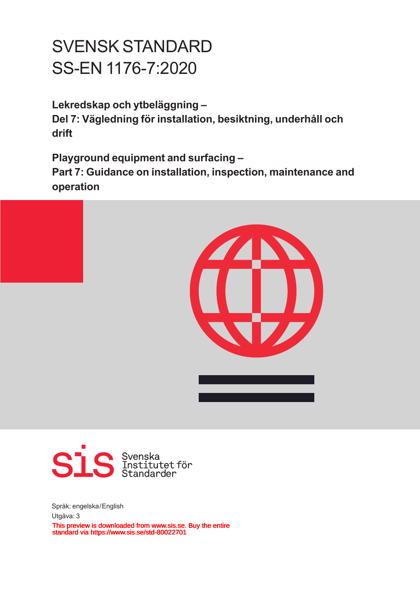# SVENSK STANDARD SS-EN 1176-7:2020

**Lekredskap och ytbeläggning – Del 7: Vägledning för installation, besiktning, underhåll och drift**

**Playground equipment and surfacing – Part 7: Guidance on installation, inspection, maintenance and operation**





Språk: engelska/English Utgåva: 3 This preview is downloaded from www.sis.se. Buy the entire standard via https://www.sis.se/std-80022701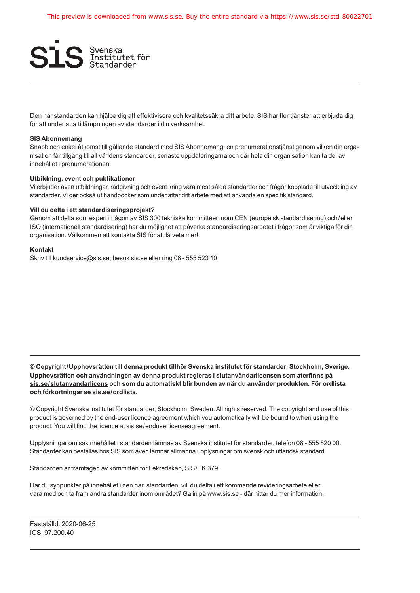

Den här standarden kan hjälpa dig att effektivisera och kvalitetssäkra ditt arbete. SIS har fler tjänster att erbjuda dig för att underlätta tillämpningen av standarder i din verksamhet.

#### **SIS Abonnemang**

Snabb och enkel åtkomst till gällande standard med SIS Abonnemang, en prenumerationstjänst genom vilken din organisation får tillgång till all världens standarder, senaste uppdateringarna och där hela din organisation kan ta del av innehållet i prenumerationen.

#### **Utbildning, event och publikationer**

Vi erbjuder även utbildningar, rådgivning och event kring våra mest sålda standarder och frågor kopplade till utveckling av standarder. Vi ger också ut handböcker som underlättar ditt arbete med att använda en specifik standard.

#### **Vill du delta i ett standardiseringsprojekt?**

Genom att delta som expert i någon av SIS 300 tekniska kommittéer inom CEN (europeisk standardisering) och / eller ISO (internationell standardisering) har du möjlighet att påverka standardiseringsarbetet i frågor som är viktiga för din organisation. Välkommen att kontakta SIS för att få veta mer!

### **Kontakt**

Skriv till [kundservice@sis.se](mailto:kundservice%40sis.se?subject=kontakt), besök [sis.se](https://www.sis.se) eller ring 08 - 555 523 10

**© Copyright / Upphovsrätten till denna produkt tillhör Svenska institutet för standarder, Stockholm, Sverige. Upphovsrätten och användningen av denna produkt regleras i slutanvändarlicensen som återfinns på [sis.se / slutanvandarlicens](https://www.sis.se/slutanvandarlicens) och som du automatiskt blir bunden av när du använder produkten. För ordlista och förkortningar se sis.se / [ordlista](https://www.sis.se/ordlista).**

© Copyright Svenska institutet för standarder, Stockholm, Sweden. All rights reserved. The copyright and use of this product is governed by the end-user licence agreement which you automatically will be bound to when using the product. You will find the licence at sis.se/enduserlicenseagreement.

Upplysningar om sakinnehållet i standarden lämnas av Svenska institutet för standarder, telefon 08 - 555 520 00. Standarder kan beställas hos SIS som även lämnar allmänna upplysningar om svensk och utländsk standard.

Standarden är framtagen av kommittén för Lekredskap, SIS / TK 379.

Har du synpunkter på innehållet i den här standarden, vill du delta i ett kommande revideringsarbete eller vara med och ta fram andra standarder inom området? Gå in på [www.sis.se](https://www.sis.se) - där hittar du mer information.

Fastställd: 2020-06-25 ICS: 97.200.40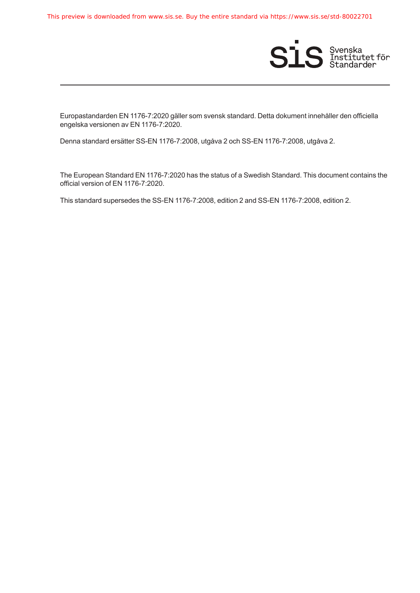

Europastandarden EN 1176-7:2020 gäller som svensk standard. Detta dokument innehåller den officiella engelska versionen av EN 1176-7:2020.

Denna standard ersätter SS-EN 1176-7:2008, utgåva 2 och SS-EN 1176-7:2008, utgåva 2.

The European Standard EN 1176-7:2020 has the status of a Swedish Standard. This document contains the official version of EN 1176-7:2020.

This standard supersedes the SS-EN 1176-7:2008, edition 2 and SS-EN 1176-7:2008, edition 2.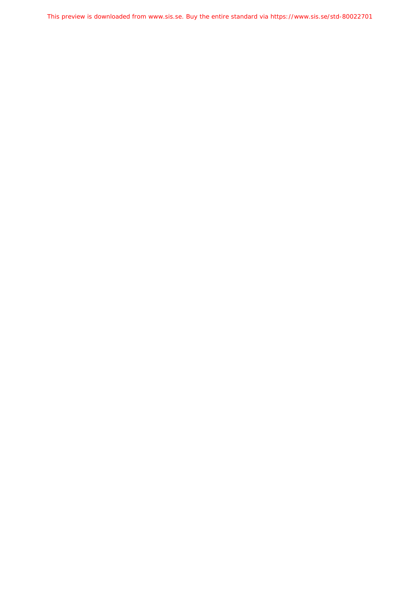This preview is downloaded from www.sis.se. Buy the entire standard via https://www.sis.se/std-80022701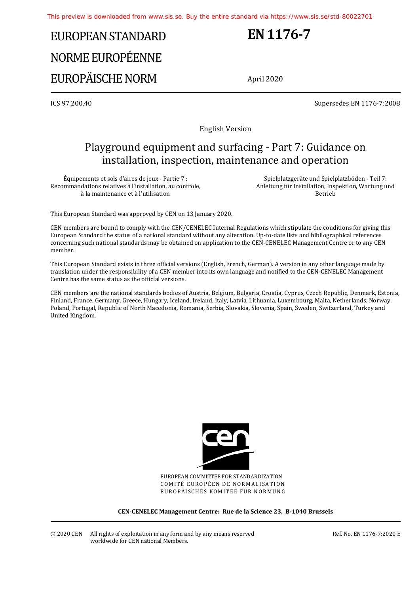# EUROPEAN STANDARD NORME EUROPÉENNE EUROPÄISCHE NORM

# **EN 1176-7**

April 2020

ICS 97.200.40 Supersedes EN 1176-7:2008

English Version

# Playground equipment and surfacing - Part 7: Guidance on installation, inspection, maintenance and operation

Équipements et sols d'aires de jeux - Partie 7 : Recommandations relatives à l'installation, au contrôle, à la maintenance et à l'utilisation

Spielplatzgeräte und Spielplatzböden - Teil 7: Anleitung für Installation, Inspektion, Wartung und Betrieb

This European Standard was approved by CEN on 13 January 2020.

CEN members are bound to comply with the CEN/CENELEC Internal Regulations which stipulate the conditions for giving this European Standard the status of a national standard without any alteration. Up-to-date lists and bibliographical references concerning such national standards may be obtained on application to the CEN-CENELEC Management Centre or to any CEN member.

This European Standard exists in three official versions (English, French, German). A version in any other language made by translation under the responsibility of a CEN member into its own language and notified to the CEN-CENELEC Management Centre has the same status as the official versions.

CEN members are the national standards bodies of Austria, Belgium, Bulgaria, Croatia, Cyprus, Czech Republic, Denmark, Estonia, Finland, France, Germany, Greece, Hungary, Iceland, Ireland, Italy, Latvia, Lithuania, Luxembourg, Malta, Netherlands, Norway, Poland, Portugal, Republic of North Macedonia, Romania, Serbia, Slovakia, Slovenia, Spain, Sweden, Switzerland, Turkey and United Kingdom.



EUROPEAN COMMITTEE FOR STANDARDIZATION COMITÉ EUROPÉEN DE NORMALISATION EUROPÄISCHES KOMITEE FÜR NORMUNG

**CEN-CENELEC Management Centre: Rue de la Science 23, B-1040 Brussels**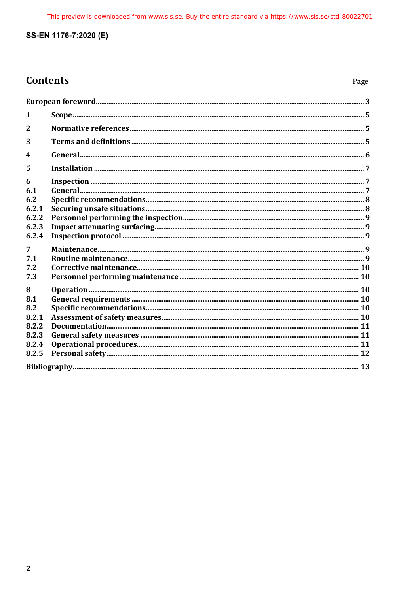### SS-EN 1176-7:2020 (E)

## **Contents**

| $\mathbf{1}$            |  |  |
|-------------------------|--|--|
| $\mathbf{2}$            |  |  |
| 3                       |  |  |
| $\overline{\mathbf{4}}$ |  |  |
| 5                       |  |  |
| 6<br>6.1                |  |  |
| 6.2                     |  |  |
| 6.2.1                   |  |  |
| 6.2.2                   |  |  |
| 6.2.3                   |  |  |
| 6.2.4                   |  |  |
| 7                       |  |  |
| 7.1                     |  |  |
| 7.2                     |  |  |
| 7.3                     |  |  |
| 8                       |  |  |
| 8.1                     |  |  |
| 8.2                     |  |  |
| 8.2.1                   |  |  |
| 8.2.2                   |  |  |
| 8.2.3                   |  |  |
| 8.2.4                   |  |  |
| 8.2.5                   |  |  |
|                         |  |  |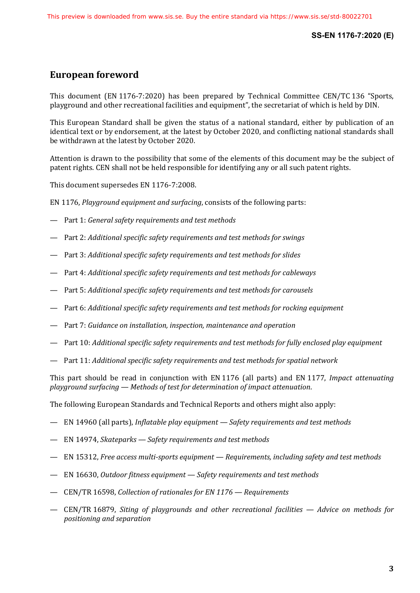### **SS-EN 1176-7:2020 (E)**

## <span id="page-6-0"></span>**European foreword**

This document (EN 1176-7:2020) has been prepared by Technical Committee CEN/TC 136 "Sports, playground and other recreational facilities and equipment", the secretariat of which is held by DIN.

This European Standard shall be given the status of a national standard, either by publication of an identical text or by endorsement, at the latest by October 2020, and conflicting national standards shall be withdrawn at the latest by October 2020.

Attention is drawn to the possibility that some of the elements of this document may be the subject of patent rights. CEN shall not be held responsible for identifying any or all such patent rights.

This document supersedes EN 1176-7:2008.

EN 1176, *Playground equipment and surfacing*, consists of the following parts:

- Part 1: *General safety requirements and test methods*
- Part 2: *Additional specific safety requirements and test methods for swings*
- Part 3: *Additional specific safety requirements and test methods for slides*
- Part 4: *Additional specific safety requirements and test methods for cableways*
- Part 5: *Additional specific safety requirements and test methods for carousels*
- Part 6: *Additional specific safety requirements and test methods for rocking equipment*
- Part 7: *Guidance on installation, inspection, maintenance and operation*
- Part 10: *Additional specific safety requirements and test methods for fully enclosed play equipment*
- Part 11: *Additional specific safety requirements and test methods for spatial network*

This part should be read in conjunction with EN 1176 (all parts) and EN 1177, *Impact attenuating playground surfacing — Methods of test for determination of impact attenuation*.

The following European Standards and Technical Reports and others might also apply:

- EN 14960 (all parts), *Inflatable play equipment Safety requirements and test methods*
- EN 14974, *Skateparks Safety requirements and test methods*
- EN 15312, *Free access multi-sports equipment Requirements, including safety and test methods*
- EN 16630, *Outdoor fitness equipment Safety requirements and test methods*
- CEN/TR 16598, *Collection of rationales for EN 1176 Requirements*
- CEN/TR 16879, *Siting of playgrounds and other recreational facilities Advice on methods for positioning and separation*